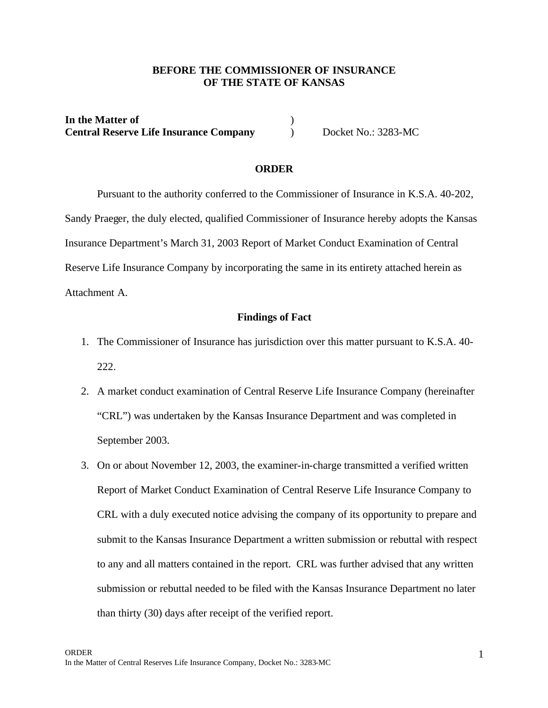# **BEFORE THE COMMISSIONER OF INSURANCE OF THE STATE OF KANSAS**

**In the Matter of** ) **Central Reserve Life Insurance Company** Docket No.: 3283-MC

# **ORDER**

Pursuant to the authority conferred to the Commissioner of Insurance in K.S.A. 40-202, Sandy Praeger, the duly elected, qualified Commissioner of Insurance hereby adopts the Kansas Insurance Department's March 31, 2003 Report of Market Conduct Examination of Central Reserve Life Insurance Company by incorporating the same in its entirety attached herein as Attachment A.

## **Findings of Fact**

- 1. The Commissioner of Insurance has jurisdiction over this matter pursuant to K.S.A. 40- 222.
- 2. A market conduct examination of Central Reserve Life Insurance Company (hereinafter "CRL") was undertaken by the Kansas Insurance Department and was completed in September 2003.
- 3. On or about November 12, 2003, the examiner-in-charge transmitted a verified written Report of Market Conduct Examination of Central Reserve Life Insurance Company to CRL with a duly executed notice advising the company of its opportunity to prepare and submit to the Kansas Insurance Department a written submission or rebuttal with respect to any and all matters contained in the report. CRL was further advised that any written submission or rebuttal needed to be filed with the Kansas Insurance Department no later than thirty (30) days after receipt of the verified report.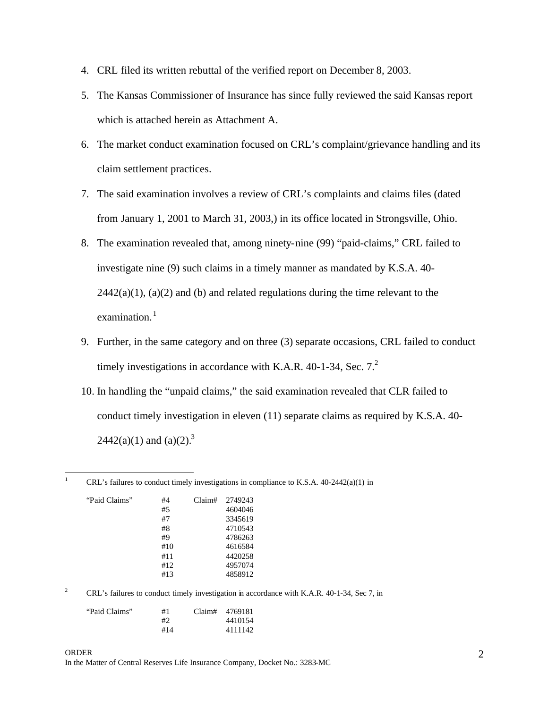- 4. CRL filed its written rebuttal of the verified report on December 8, 2003.
- 5. The Kansas Commissioner of Insurance has since fully reviewed the said Kansas report which is attached herein as Attachment A.
- 6. The market conduct examination focused on CRL's complaint/grievance handling and its claim settlement practices.
- 7. The said examination involves a review of CRL's complaints and claims files (dated from January 1, 2001 to March 31, 2003,) in its office located in Strongsville, Ohio.
- 8. The examination revealed that, among ninety-nine (99) "paid-claims," CRL failed to investigate nine (9) such claims in a timely manner as mandated by K.S.A. 40-  $2442(a)(1)$ ,  $(a)(2)$  and (b) and related regulations during the time relevant to the examination.<sup>1</sup>
- 9. Further, in the same category and on three (3) separate occasions, CRL failed to conduct timely investigations in accordance with K.A.R. 40-1-34, Sec.  $7<sup>2</sup>$
- 10. In handling the "unpaid claims," the said examination revealed that CLR failed to conduct timely investigation in eleven (11) separate claims as required by K.S.A. 40- 2442(a)(1) and (a)(2).<sup>3</sup>

| "Paid Claims" | #4  | Claim# | 2749243 |
|---------------|-----|--------|---------|
|               | #5  |        | 4604046 |
|               | #7  |        | 3345619 |
|               | #8  |        | 4710543 |
|               | #9  |        | 4786263 |
|               | #10 |        | 4616584 |
|               | #11 |        | 4420258 |
|               | #12 |        | 4957074 |
|               | #13 |        | 4858912 |

 $1\,$ 

<sup>2</sup> CRL's failures to conduct timely investigation in accordance with K.A.R. 40-1-34, Sec 7, in

<sup>1</sup> CRL's failures to conduct timely investigations in compliance to K.S.A. 40-2442(a)(1) in

| "Paid Claims" | #1  | Claim# 4769181 |
|---------------|-----|----------------|
|               | #2  | 4410154        |
|               | #14 | 4111142        |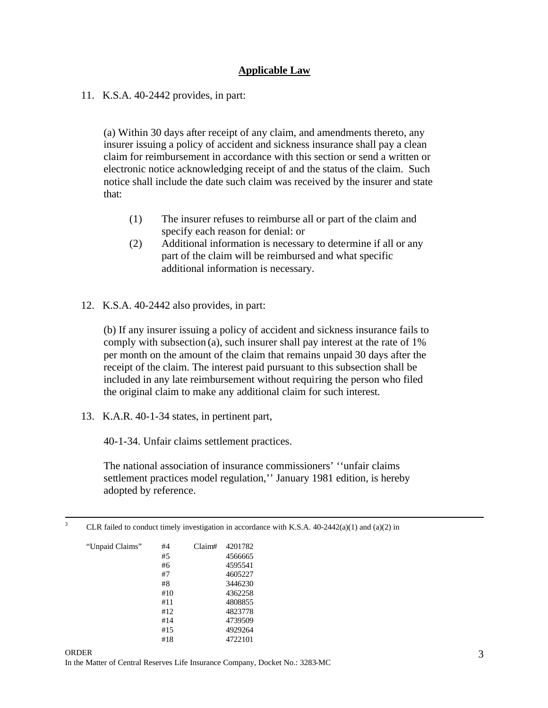# **Applicable Law**

#### 11. K.S.A. 40-2442 provides, in part:

(a) Within 30 days after receipt of any claim, and amendments thereto, any insurer issuing a policy of accident and sickness insurance shall pay a clean claim for reimbursement in accordance with this section or send a written or electronic notice acknowledging receipt of and the status of the claim. Such notice shall include the date such claim was received by the insurer and state that:

- (1) The insurer refuses to reimburse all or part of the claim and specify each reason for denial: or
- (2) Additional information is necessary to determine if all or any part of the claim will be reimbursed and what specific additional information is necessary.
- 12. K.S.A. 40-2442 also provides, in part:

(b) If any insurer issuing a policy of accident and sickness insurance fails to comply with subsection (a), such insurer shall pay interest at the rate of 1% per month on the amount of the claim that remains unpaid 30 days after the receipt of the claim. The interest paid pursuant to this subsection shall be included in any late reimbursement without requiring the person who filed the original claim to make any additional claim for such interest.

13. K.A.R. 40-1-34 states, in pertinent part,

40-1-34. Unfair claims settlement practices.

The national association of insurance commissioners' ''unfair claims settlement practices model regulation,'' January 1981 edition, is hereby adopted by reference.

 $\overline{\mathbf{3}}$ CLR failed to conduct timely investigation in accordance with K.S.A.  $40-2442(a)(1)$  and  $(a)(2)$  in

| "Unpaid Claims" | #4  | Claim# | 4201782 |
|-----------------|-----|--------|---------|
|                 | #5  |        | 4566665 |
|                 | #6  |        | 4595541 |
|                 | #7  |        | 4605227 |
|                 | #8  |        | 3446230 |
|                 | #10 |        | 4362258 |
|                 | #11 |        | 4808855 |
|                 | #12 |        | 4823778 |
|                 | #14 |        | 4739509 |
|                 | #15 |        | 4929264 |
|                 | #18 |        | 4722101 |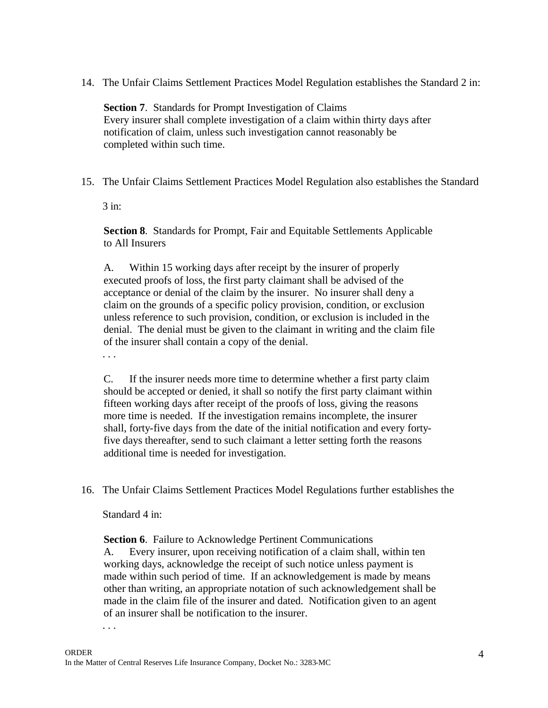14. The Unfair Claims Settlement Practices Model Regulation establishes the Standard 2 in:

**Section 7**. Standards for Prompt Investigation of Claims Every insurer shall complete investigation of a claim within thirty days after notification of claim, unless such investigation cannot reasonably be completed within such time.

15. The Unfair Claims Settlement Practices Model Regulation also establishes the Standard

3 in:

**Section 8**. Standards for Prompt, Fair and Equitable Settlements Applicable to All Insurers

A. Within 15 working days after receipt by the insurer of properly executed proofs of loss, the first party claimant shall be advised of the acceptance or denial of the claim by the insurer. No insurer shall deny a claim on the grounds of a specific policy provision, condition, or exclusion unless reference to such provision, condition, or exclusion is included in the denial. The denial must be given to the claimant in writing and the claim file of the insurer shall contain a copy of the denial.

. . .

C. If the insurer needs more time to determine whether a first party claim should be accepted or denied, it shall so notify the first party claimant within fifteen working days after receipt of the proofs of loss, giving the reasons more time is needed. If the investigation remains incomplete, the insurer shall, forty-five days from the date of the initial notification and every fortyfive days thereafter, send to such claimant a letter setting forth the reasons additional time is needed for investigation.

16. The Unfair Claims Settlement Practices Model Regulations further establishes the

Standard 4 in:

**Section 6**. Failure to Acknowledge Pertinent Communications

A. Every insurer, upon receiving notification of a claim shall, within ten working days, acknowledge the receipt of such notice unless payment is made within such period of time. If an acknowledgement is made by means other than writing, an appropriate notation of such acknowledgement shall be made in the claim file of the insurer and dated. Notification given to an agent of an insurer shall be notification to the insurer.

. . .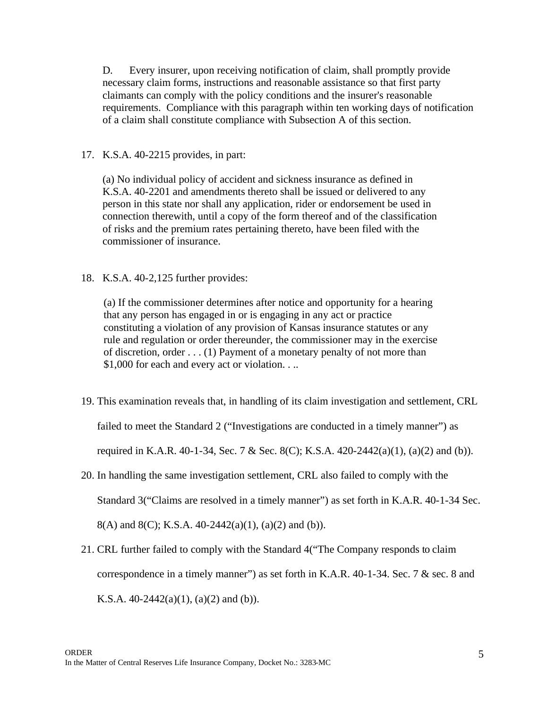D. Every insurer, upon receiving notification of claim, shall promptly provide necessary claim forms, instructions and reasonable assistance so that first party claimants can comply with the policy conditions and the insurer's reasonable requirements. Compliance with this paragraph within ten working days of notification of a claim shall constitute compliance with Subsection A of this section.

# 17. K.S.A. 40-2215 provides, in part:

(a) No individual policy of accident and sickness insurance as defined in K.S.A. 40-2201 and amendments thereto shall be issued or delivered to any person in this state nor shall any application, rider or endorsement be used in connection therewith, until a copy of the form thereof and of the classification of risks and the premium rates pertaining thereto, have been filed with the commissioner of insurance.

18. K.S.A. 40-2,125 further provides:

(a) If the commissioner determines after notice and opportunity for a hearing that any person has engaged in or is engaging in any act or practice constituting a violation of any provision of Kansas insurance statutes or any rule and regulation or order thereunder, the commissioner may in the exercise of discretion, order . . . (1) Payment of a monetary penalty of not more than \$1,000 for each and every act or violation. . ..

19. This examination reveals that, in handling of its claim investigation and settlement, CRL

failed to meet the Standard 2 ("Investigations are conducted in a timely manner") as

required in K.A.R. 40-1-34, Sec. 7 & Sec. 8(C); K.S.A. 420-2442(a)(1), (a)(2) and (b)).

- 20. In handling the same investigation settlement, CRL also failed to comply with the Standard 3("Claims are resolved in a timely manner") as set forth in K.A.R. 40-1-34 Sec. 8(A) and 8(C); K.S.A.  $40-2442(a)(1)$ , (a)(2) and (b)).
- 21. CRL further failed to comply with the Standard 4("The Company responds to claim correspondence in a timely manner") as set forth in K.A.R. 40-1-34. Sec. 7 & sec. 8 and K.S.A.  $40-2442(a)(1)$ ,  $(a)(2)$  and  $(b)$ ).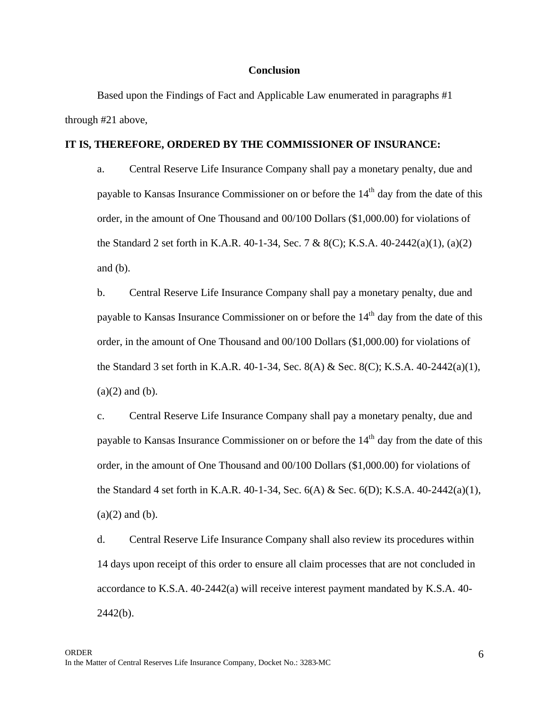#### **Conclusion**

Based upon the Findings of Fact and Applicable Law enumerated in paragraphs #1 through #21 above,

#### **IT IS, THEREFORE, ORDERED BY THE COMMISSIONER OF INSURANCE:**

a. Central Reserve Life Insurance Company shall pay a monetary penalty, due and payable to Kansas Insurance Commissioner on or before the  $14<sup>th</sup>$  day from the date of this order, in the amount of One Thousand and 00/100 Dollars (\$1,000.00) for violations of the Standard 2 set forth in K.A.R. 40-1-34, Sec. 7 & 8(C); K.S.A. 40-2442(a)(1), (a)(2) and (b).

b. Central Reserve Life Insurance Company shall pay a monetary penalty, due and payable to Kansas Insurance Commissioner on or before the  $14<sup>th</sup>$  day from the date of this order, in the amount of One Thousand and 00/100 Dollars (\$1,000.00) for violations of the Standard 3 set forth in K.A.R. 40-1-34, Sec. 8(A) & Sec. 8(C); K.S.A. 40-2442(a)(1),  $(a)(2)$  and  $(b)$ .

c. Central Reserve Life Insurance Company shall pay a monetary penalty, due and payable to Kansas Insurance Commissioner on or before the 14<sup>th</sup> day from the date of this order, in the amount of One Thousand and 00/100 Dollars (\$1,000.00) for violations of the Standard 4 set forth in K.A.R. 40-1-34, Sec. 6(A) & Sec. 6(D); K.S.A. 40-2442(a)(1),  $(a)(2)$  and  $(b)$ .

d. Central Reserve Life Insurance Company shall also review its procedures within 14 days upon receipt of this order to ensure all claim processes that are not concluded in accordance to K.S.A. 40-2442(a) will receive interest payment mandated by K.S.A. 40-  $2442(b)$ .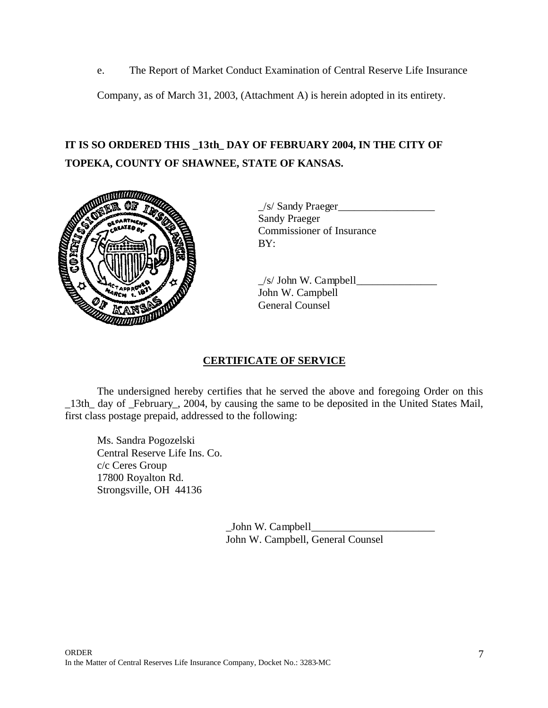e. The Report of Market Conduct Examination of Central Reserve Life Insurance

Company, as of March 31, 2003, (Attachment A) is herein adopted in its entirety.

# **IT IS SO ORDERED THIS \_13th\_ DAY OF FEBRUARY 2004, IN THE CITY OF TOPEKA, COUNTY OF SHAWNEE, STATE OF KANSAS.**



 $\angle$ /s/ Sandy Praeger $\angle$ Sandy Praeger Commissioner of Insurance BY:

 $\angle$ s/ John W. Campbell $\angle$ John W. Campbell General Counsel

# **CERTIFICATE OF SERVICE**

The undersigned hereby certifies that he served the above and foregoing Order on this \_13th\_ day of \_February\_, 2004, by causing the same to be deposited in the United States Mail, first class postage prepaid, addressed to the following:

Ms. Sandra Pogozelski Central Reserve Life Ins. Co. c/c Ceres Group 17800 Royalton Rd. Strongsville, OH 44136

> \_John W. Campbell\_\_\_\_\_\_\_\_\_\_\_\_\_\_\_\_\_\_\_\_\_\_\_ John W. Campbell, General Counsel